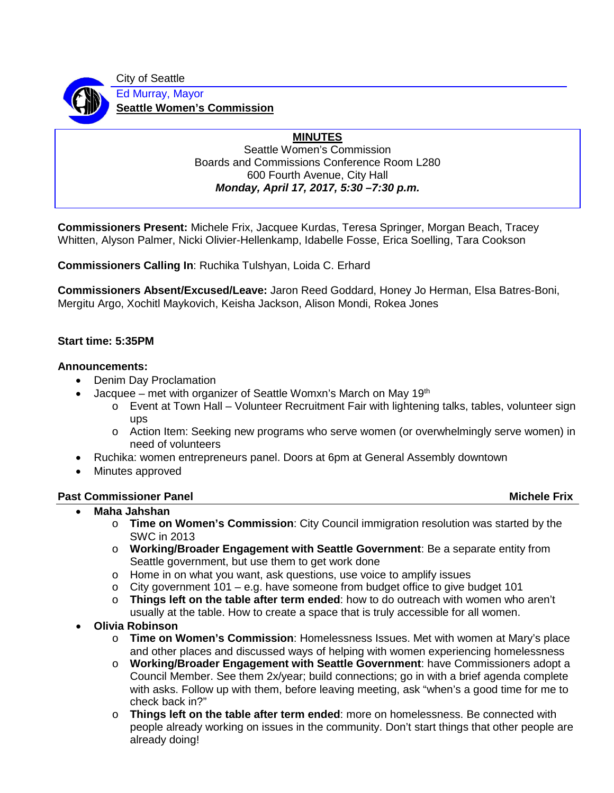City of Seattle

Ed Murray, Mayor **Seattle Women's Commission**

# **MINUTES**

Seattle Women's Commission Boards and Commissions Conference Room L280 600 Fourth Avenue, City Hall *Monday, April 17, 2017, 5:30 –7:30 p.m.*

**Commissioners Present:** Michele Frix, Jacquee Kurdas, Teresa Springer, Morgan Beach, Tracey Whitten, Alyson Palmer, Nicki Olivier-Hellenkamp, Idabelle Fosse, Erica Soelling, Tara Cookson

**Commissioners Calling In**: Ruchika Tulshyan, Loida C. Erhard

**Commissioners Absent/Excused/Leave:** Jaron Reed Goddard, Honey Jo Herman, Elsa Batres-Boni, Mergitu Argo, Xochitl Maykovich, Keisha Jackson, Alison Mondi, Rokea Jones

## **Start time: 5:35PM**

### **Announcements:**

- Denim Day Proclamation
- Jacquee met with organizer of Seattle Womxn's March on May 19th
	- o Event at Town Hall Volunteer Recruitment Fair with lightening talks, tables, volunteer sign ups
	- o Action Item: Seeking new programs who serve women (or overwhelmingly serve women) in need of volunteers
	- Ruchika: women entrepreneurs panel. Doors at 6pm at General Assembly downtown
- Minutes approved

### **Past Commissioner Panel Michele Frix According to According the Commissioner Panel Michele Frix According to According the Michele Frix According to According the Michele Frix According to According the Michele Frix Accor**

- **Maha Jahshan** 
	- o **Time on Women's Commission**: City Council immigration resolution was started by the SWC in 2013
	- o **Working/Broader Engagement with Seattle Government**: Be a separate entity from Seattle government, but use them to get work done
	- o Home in on what you want, ask questions, use voice to amplify issues
	- $\circ$  City government 101 e.g. have someone from budget office to give budget 101
	- o **Things left on the table after term ended**: how to do outreach with women who aren't usually at the table. How to create a space that is truly accessible for all women.
- **Olivia Robinson** 
	- o **Time on Women's Commission**: Homelessness Issues. Met with women at Mary's place and other places and discussed ways of helping with women experiencing homelessness
	- o **Working/Broader Engagement with Seattle Government**: have Commissioners adopt a Council Member. See them 2x/year; build connections; go in with a brief agenda complete with asks. Follow up with them, before leaving meeting, ask "when's a good time for me to check back in?"
	- o **Things left on the table after term ended**: more on homelessness. Be connected with people already working on issues in the community. Don't start things that other people are already doing!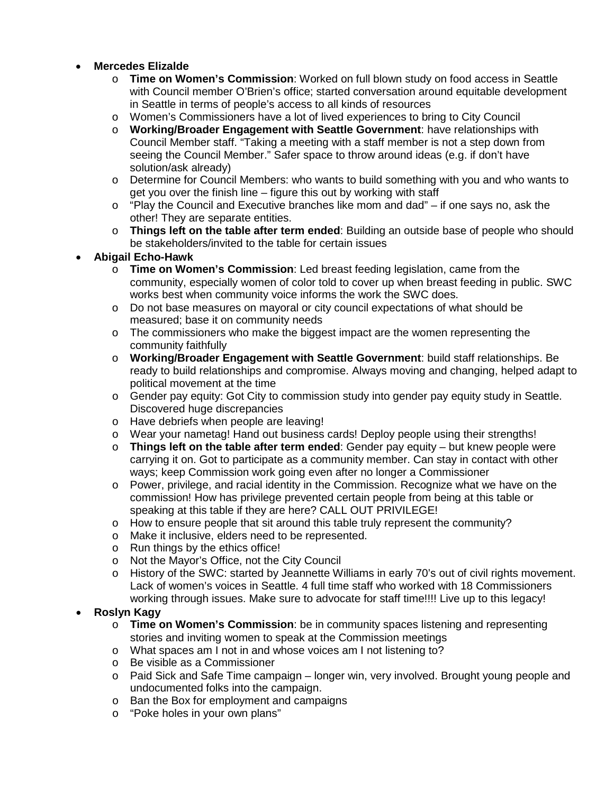# • **Mercedes Elizalde**

- o **Time on Women's Commission**: Worked on full blown study on food access in Seattle with Council member O'Brien's office; started conversation around equitable development in Seattle in terms of people's access to all kinds of resources
- o Women's Commissioners have a lot of lived experiences to bring to City Council
- o **Working/Broader Engagement with Seattle Government**: have relationships with Council Member staff. "Taking a meeting with a staff member is not a step down from seeing the Council Member." Safer space to throw around ideas (e.g. if don't have solution/ask already)
- o Determine for Council Members: who wants to build something with you and who wants to get you over the finish line – figure this out by working with staff
- $\circ$  "Play the Council and Executive branches like mom and dad" if one says no, ask the other! They are separate entities.
- o **Things left on the table after term ended**: Building an outside base of people who should be stakeholders/invited to the table for certain issues

## • **Abigail Echo-Hawk**

- o **Time on Women's Commission**: Led breast feeding legislation, came from the community, especially women of color told to cover up when breast feeding in public. SWC works best when community voice informs the work the SWC does.
- o Do not base measures on mayoral or city council expectations of what should be measured; base it on community needs
- $\circ$  The commissioners who make the biggest impact are the women representing the community faithfully
- o **Working/Broader Engagement with Seattle Government**: build staff relationships. Be ready to build relationships and compromise. Always moving and changing, helped adapt to political movement at the time
- o Gender pay equity: Got City to commission study into gender pay equity study in Seattle. Discovered huge discrepancies
- o Have debriefs when people are leaving!
- o Wear your nametag! Hand out business cards! Deploy people using their strengths!
- o **Things left on the table after term ended**: Gender pay equity but knew people were carrying it on. Got to participate as a community member. Can stay in contact with other ways; keep Commission work going even after no longer a Commissioner
- o Power, privilege, and racial identity in the Commission. Recognize what we have on the commission! How has privilege prevented certain people from being at this table or speaking at this table if they are here? CALL OUT PRIVILEGE!
- o How to ensure people that sit around this table truly represent the community?
- o Make it inclusive, elders need to be represented.
- o Run things by the ethics office!
- o Not the Mayor's Office, not the City Council
- o History of the SWC: started by Jeannette Williams in early 70's out of civil rights movement. Lack of women's voices in Seattle. 4 full time staff who worked with 18 Commissioners working through issues. Make sure to advocate for staff time!!!! Live up to this legacy!

### • **Roslyn Kagy**

- o **Time on Women's Commission**: be in community spaces listening and representing stories and inviting women to speak at the Commission meetings
- o What spaces am I not in and whose voices am I not listening to?
- o Be visible as a Commissioner
- o Paid Sick and Safe Time campaign longer win, very involved. Brought young people and undocumented folks into the campaign.
- o Ban the Box for employment and campaigns
- o "Poke holes in your own plans"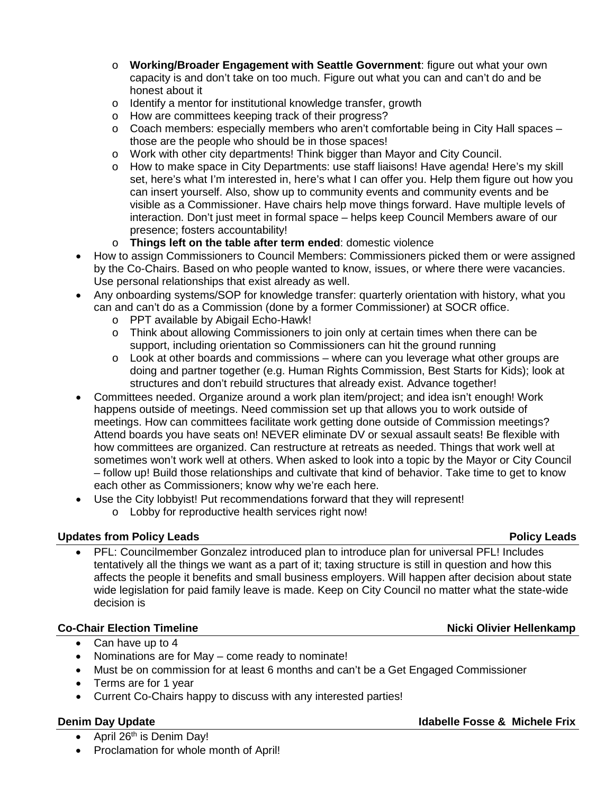- o **Working/Broader Engagement with Seattle Government**: figure out what your own capacity is and don't take on too much. Figure out what you can and can't do and be honest about it
- o Identify a mentor for institutional knowledge transfer, growth
- o How are committees keeping track of their progress?
- $\circ$  Coach members: especially members who aren't comfortable being in City Hall spaces those are the people who should be in those spaces!
- o Work with other city departments! Think bigger than Mayor and City Council.
- o How to make space in City Departments: use staff liaisons! Have agenda! Here's my skill set, here's what I'm interested in, here's what I can offer you. Help them figure out how you can insert yourself. Also, show up to community events and community events and be visible as a Commissioner. Have chairs help move things forward. Have multiple levels of interaction. Don't just meet in formal space – helps keep Council Members aware of our presence; fosters accountability!
- o **Things left on the table after term ended**: domestic violence
- How to assign Commissioners to Council Members: Commissioners picked them or were assigned by the Co-Chairs. Based on who people wanted to know, issues, or where there were vacancies. Use personal relationships that exist already as well.
- Any onboarding systems/SOP for knowledge transfer: quarterly orientation with history, what you can and can't do as a Commission (done by a former Commissioner) at SOCR office.
	- o PPT available by Abigail Echo-Hawk!
	- $\circ$  Think about allowing Commissioners to join only at certain times when there can be support, including orientation so Commissioners can hit the ground running
	- $\circ$  Look at other boards and commissions where can you leverage what other groups are doing and partner together (e.g. Human Rights Commission, Best Starts for Kids); look at structures and don't rebuild structures that already exist. Advance together!
- Committees needed. Organize around a work plan item/project; and idea isn't enough! Work happens outside of meetings. Need commission set up that allows you to work outside of meetings. How can committees facilitate work getting done outside of Commission meetings? Attend boards you have seats on! NEVER eliminate DV or sexual assault seats! Be flexible with how committees are organized. Can restructure at retreats as needed. Things that work well at sometimes won't work well at others. When asked to look into a topic by the Mayor or City Council – follow up! Build those relationships and cultivate that kind of behavior. Take time to get to know each other as Commissioners; know why we're each here.
- Use the City lobbyist! Put recommendations forward that they will represent!
	- o Lobby for reproductive health services right now!

# **Updates from Policy Leads Policy Leads**

• PFL: Councilmember Gonzalez introduced plan to introduce plan for universal PFL! Includes tentatively all the things we want as a part of it; taxing structure is still in question and how this affects the people it benefits and small business employers. Will happen after decision about state wide legislation for paid family leave is made. Keep on City Council no matter what the state-wide decision is

# **Co-Chair Election Timeline Nicki Olivier Hellenkamp**

- Can have up to 4
- Nominations are for May come ready to nominate!
- Must be on commission for at least 6 months and can't be a Get Engaged Commissioner
- Terms are for 1 year
- Current Co-Chairs happy to discuss with any interested parties!

- April  $26<sup>th</sup>$  is Denim Day!
- Proclamation for whole month of April!

### **Denim Day Update Idabelle Fosse & Michele Frix**